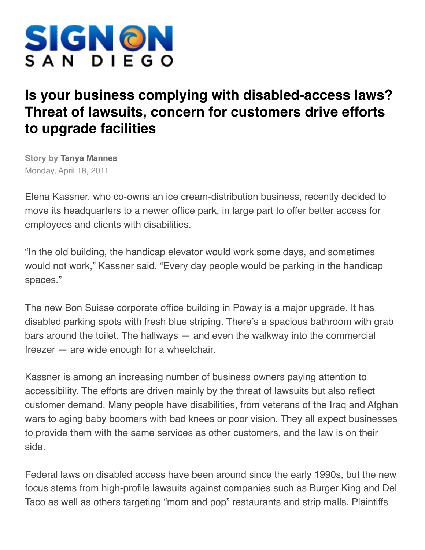

## **Is your business complying with disabled-access laws? Threat of lawsuits, concern for customers drive efforts to upgrade facilities**

**Story by Tanya Mannes** Monday, April 18, 2011

Elena Kassner, who co-owns an ice cream-distribution business, recently decided to move its headquarters to a newer office park, in large part to offer better access for employees and clients with disabilities.

"In the old building, the handicap elevator would work some days, and sometimes would not work," Kassner said. "Every day people would be parking in the handicap spaces."

The new Bon Suisse corporate office building in Poway is a major upgrade. It has disabled parking spots with fresh blue striping. There's a spacious bathroom with grab bars around the toilet. The hallways — and even the walkway into the commercial freezer — are wide enough for a wheelchair.

Kassner is among an increasing number of business owners paying attention to accessibility. The efforts are driven mainly by the threat of lawsuits but also reflect customer demand. Many people have disabilities, from veterans of the Iraq and Afghan wars to aging baby boomers with bad knees or poor vision. They all expect businesses to provide them with the same services as other customers, and the law is on their side.

Federal laws on disabled access have been around since the early 1990s, but the new focus stems from high-profile lawsuits against companies such as Burger King and Del Taco as well as others targeting "mom and pop" restaurants and strip malls. Plaintiffs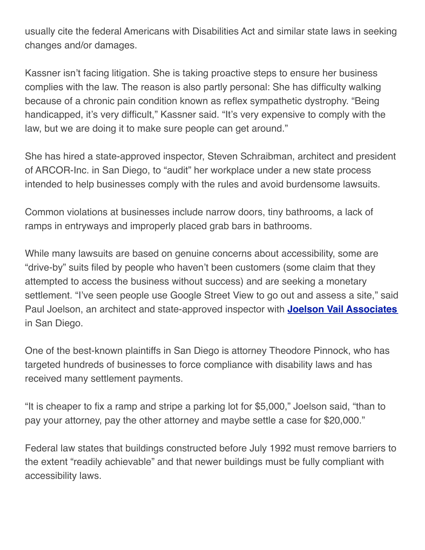usually cite the federal Americans with Disabilities Act and similar state laws in seeking changes and/or damages.

Kassner isn't facing litigation. She is taking proactive steps to ensure her business complies with the law. The reason is also partly personal: She has difficulty walking because of a chronic pain condition known as reflex sympathetic dystrophy. "Being handicapped, it's very difficult," Kassner said. "It's very expensive to comply with the law, but we are doing it to make sure people can get around."

She has hired a state-approved inspector, Steven Schraibman, architect and president of ARCOR-Inc. in San Diego, to "audit" her workplace under a new state process intended to help businesses comply with the rules and avoid burdensome lawsuits.

Common violations at businesses include narrow doors, tiny bathrooms, a lack of ramps in entryways and improperly placed grab bars in bathrooms.

While many lawsuits are based on genuine concerns about accessibility, some are "drive-by" suits filed by people who haven't been customers (some claim that they attempted to access the business without success) and are seeking a monetary settlement. "I've seen people use Google Street View to go out and assess a site," said Paul Joelson, an architect and state-approved inspector with **[Joelson Vail Associates](http://WWW.JOELSONVAIL.COM/)** in San Diego.

One of the best-known plaintiffs in San Diego is attorney Theodore Pinnock, who has targeted hundreds of businesses to force compliance with disability laws and has received many settlement payments.

"It is cheaper to fix a ramp and stripe a parking lot for \$5,000," Joelson said, "than to pay your attorney, pay the other attorney and maybe settle a case for \$20,000."

Federal law states that buildings constructed before July 1992 must remove barriers to the extent "readily achievable" and that newer buildings must be fully compliant with accessibility laws.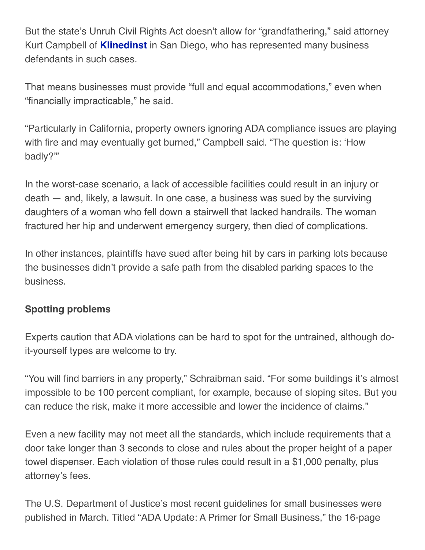But the state's Unruh Civil Rights Act doesn't allow for "grandfathering," said attorney Kurt Campbell of **[Klinedinst](http://www.KlinedinstLaw.com/)** in San Diego, who has represented many business defendants in such cases.

That means businesses must provide "full and equal accommodations," even when "financially impracticable," he said.

"Particularly in California, property owners ignoring ADA compliance issues are playing with fire and may eventually get burned," Campbell said. "The question is: ʻHow badly?'"

In the worst-case scenario, a lack of accessible facilities could result in an injury or death — and, likely, a lawsuit. In one case, a business was sued by the surviving daughters of a woman who fell down a stairwell that lacked handrails. The woman fractured her hip and underwent emergency surgery, then died of complications.

In other instances, plaintiffs have sued after being hit by cars in parking lots because the businesses didn't provide a safe path from the disabled parking spaces to the business.

## **Spotting problems**

Experts caution that ADA violations can be hard to spot for the untrained, although doit-yourself types are welcome to try.

"You will find barriers in any property," Schraibman said. "For some buildings it's almost impossible to be 100 percent compliant, for example, because of sloping sites. But you can reduce the risk, make it more accessible and lower the incidence of claims."

Even a new facility may not meet all the standards, which include requirements that a door take longer than 3 seconds to close and rules about the proper height of a paper towel dispenser. Each violation of those rules could result in a \$1,000 penalty, plus attorney's fees.

The U.S. Department of Justice's most recent guidelines for small businesses were published in March. Titled "ADA Update: A Primer for Small Business," the 16-page